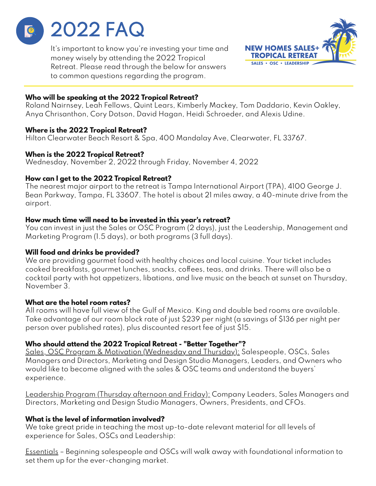

It's important to know you're investing your time and money wisely by attending the 2022 Tropical Retreat. Please read through the below for answers to common questions regarding the program.



## **Who will be speaking at the 2022 Tropical Retreat?**

Roland Nairnsey, Leah Fellows, Quint Lears, Kimberly Mackey, Tom Daddario, Kevin Oakley, Anya Chrisanthon, Cory Dotson, David Hagan, Heidi Schroeder, and Alexis Udine.

## **Where is the 2022 Tropical Retreat?**

Hilton Clearwater Beach Resort & Spa, 400 Mandalay Ave, Clearwater, FL 33767.

### **When is the 2022 Tropical Retreat?**

Wednesday, November 2, 2022 through Friday, November 4, 2022

## **How can I get to the 2022 Tropical Retreat?**

The nearest major airport to the retreat is Tampa International Airport (TPA), 4100 George J. Bean Parkway, Tampa, FL 33607. The hotel is about 21 miles away, a 40-minute drive from the airport.

## **How much time will need to be invested in this year's retreat?**

You can invest in just the Sales or OSC Program (2 days), just the Leadership, Management and Marketing Program (1.5 days), or both programs (3 full days).

# **Will food and drinks be provided?**

We are providing gourmet food with healthy choices and local cuisine. Your ticket includes cooked breakfasts, gourmet lunches, snacks, coffees, teas, and drinks. There will also be a cocktail party with hot appetizers, libations, and live music on the beach at sunset on Thursday, November 3.

# **What are the hotel room rates?**

All rooms will have full view of the Gulf of Mexico. King and double bed rooms are available. Take advantage of our room block rate of just \$239 per night (a savings of \$136 per night per person over published rates), plus discounted resort fee of just \$15.

# **Who should attend the 2022 Tropical Retreat - "Better Together"?**

Sales, OSC Program & Motivation (Wednesday and Thursday): Salespeople, OSCs, Sales Managers and Directors, Marketing and Design Studio Managers, Leaders, and Owners who would like to become aligned with the sales & OSC teams and understand the buyers' experience.

Leadership Program (Thursday afternoon and Friday): Company Leaders, Sales Managers and Directors, Marketing and Design Studio Managers, Owners, Presidents, and CFOs.

# **What is the level of information involved?**

We take great pride in teaching the most up-to-date relevant material for all levels of experience for Sales, OSCs and Leadership:

Essentials – Beginning salespeople and OSCs will walk away with foundational information to set them up for the ever-changing market.